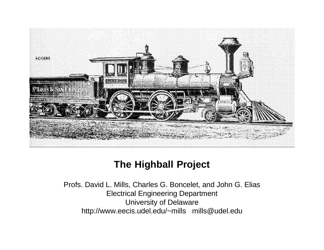

# **The Highball Project**

Profs. David L. Mills, Charles G. Boncelet, and John G. Elias Electrical Engineering Department University of Delaware http://www.eecis.udel.edu/~mills mills@udel.edu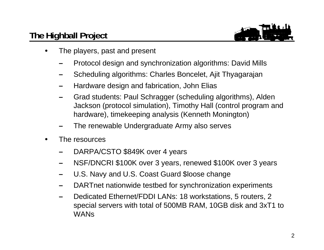## **The Highball Project**



- • The players, past and present
	- **–**Protocol design and synchronization algorithms: David Mills
	- **–**Scheduling algorithms: Charles Boncelet, Ajit Thyagarajan
	- **–**Hardware design and fabrication, John Elias
	- Grad students: Paul Schragger (scheduling algorithms), Alden Jackson (protocol simulation), Timothy Hall (control program and hardware), timekeeping analysis (Kenneth Monington)
	- **–**The renewable Undergraduate Army also serves
- • The resources
	- **–**DARPA/CSTO \$849K over 4 years
	- **–**NSF/DNCRI \$100K over 3 years, renewed \$100K over 3 years
	- **–**U.S. Navy and U.S. Coast Guard \$loose change
	- DARTnet nationwide testbed for synchronization experiments
	- **–** Dedicated Ethernet/FDDI LANs: 18 workstations, 5 routers, 2 special servers with total of 500MB RAM, 10GB disk and 3xT1 to WANs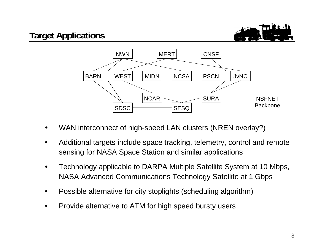



- •WAN interconnect of high-speed LAN clusters (NREN overlay?)
- • Additional targets include space tracking, telemetry, control and remote sensing for NASA Space Station and similar applications
- • Technology applicable to DARPA Multiple Satellite System at 10 Mbps, NASA Advanced Communications Technology Satellite at 1 Gbps
- •Possible alternative for city stoplights (scheduling algorithm)
- •Provide alternative to ATM for high speed bursty users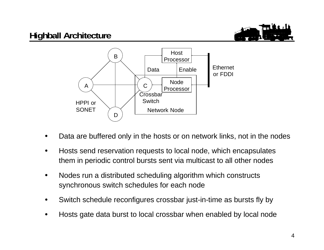

- •Data are buffered only in the hosts or on network links, not in the nodes
- • Hosts send reservation requests to local node, which encapsulates them in periodic control bursts sent via multicast to all other nodes
- $\bullet$  Nodes run a distributed scheduling algorithm which constructs synchronous switch schedules for each node
- •Switch schedule reconfigures crossbar just-in-time as bursts fly by
- •Hosts gate data burst to local crossbar when enabled by local node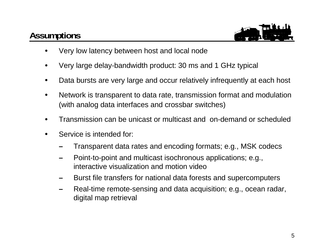## **Assumptions**



- •Very low latency between host and local node
- •Very large delay-bandwidth product: 30 ms and 1 GHz typical
- •Data bursts are very large and occur relatively infrequently at each host
- • Network is transparent to data rate, transmission format and modulation (with analog data interfaces and crossbar switches)
- •Transmission can be unicast or multicast and on-demand or scheduled
- • Service is intended for:
	- **–**Transparent data rates and encoding formats; e.g., MSK codecs
	- **–** Point-to-point and multicast isochronous applications; e.g., interactive visualization and motion video
	- Burst file transfers for national data forests and supercomputers
	- **–** Real-time remote-sensing and data acquisition; e.g., ocean radar, digital map retrieval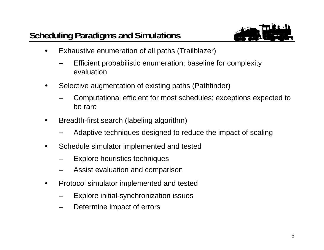

- • Exhaustive enumeration of all paths (Trailblazer)
	- **–** Efficient probabilistic enumeration; baseline for complexity evaluation
- • Selective augmentation of existing paths (Pathfinder)
	- **–** Computational efficient for most schedules; exceptions expected to be rare
- • Breadth-first search (labeling algorithm)
	- **–**Adaptive techniques designed to reduce the impact of scaling
- • Schedule simulator implemented and tested
	- **–**Explore heuristics techniques
	- **–**Assist evaluation and comparison
- • Protocol simulator implemented and tested
	- **–**Explore initial-synchronization issues
	- **–**Determine impact of errors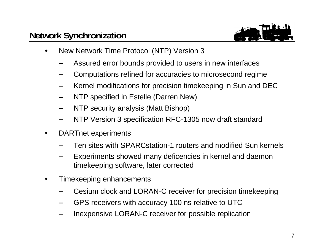

- • New Network Time Protocol (NTP) Version 3
	- **–**Assured error bounds provided to users in new interfaces
	- **–**Computations refined for accuracies to microsecond regime
	- **–**Kernel modifications for precision timekeeping in Sun and DEC
	- NTP specified in Estelle (Darren New)
	- **–**NTP security analysis (Matt Bishop)
	- **–**NTP Version 3 specification RFC-1305 now draft standard
- • DARTnet experiments
	- **–**Ten sites with SPARCstation-1 routers and modified Sun kernels
	- **–** Experiments showed many deficencies in kernel and daemon timekeeping software, later corrected
- • Timekeeping enhancements
	- **–**Cesium clock and LORAN-C receiver for precision timekeeping
	- GPS receivers with accuracy 100 ns relative to UTC
	- **–**Inexpensive LORAN-C receiver for possible replication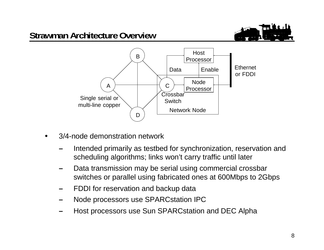

#### **Strawman Architecture Overview**



- • 3/4-node demonstration network
	- Intended primarily as testbed for synchronization, reservation and scheduling algorithms; links won't carry traffic until later
	- **–** Data transmission may be serial using commercial crossbar switches or parallel using fabricated ones at 600Mbps to 2Gbps
	- FDDI for reservation and backup data
	- **–**Node processors use SPARCstation IPC
	- **–**Host processors use Sun SPARCstation and DEC Alpha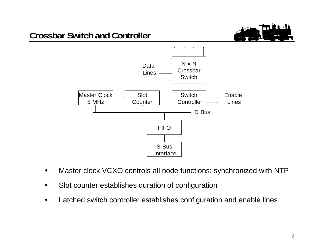# **Crossbar Switch and Controller**





- •Master clock VCXO controls all node functions; synchronized with NTP
- •Slot counter establishes duration of configuration
- •Latched switch controller establishes configuration and enable lines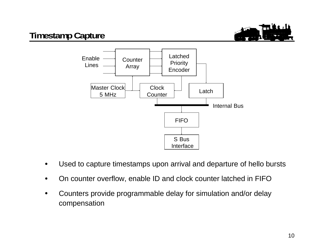

## **Timestamp Capture**



- •Used to capture timestamps upon arrival and departure of hello bursts
- •On counter overflow, enable ID and clock counter latched in FIFO
- • Counters provide programmable delay for simulation and/or delay compensation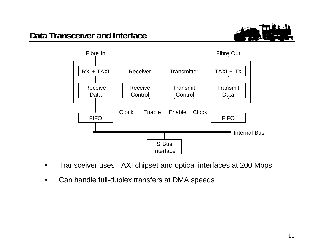





- •Transceiver uses TAXI chipset and optical interfaces at 200 Mbps
- $\bullet$ Can handle full-duplex transfers at DMA speeds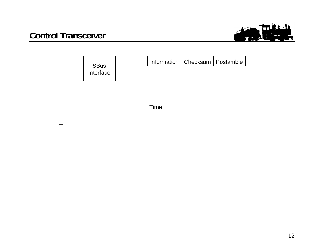





Time

**–**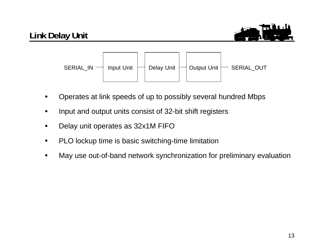## **Link Delay Unit**





- •Operates at link speeds of up to possibly several hundred Mbps
- •Input and output units consist of 32-bit shift registers
- •Delay unit operates as 32x1M FIFO
- •PLO lockup time is basic switching-time limitation
- •May use out-of-band network synchronization for preliminary evaluation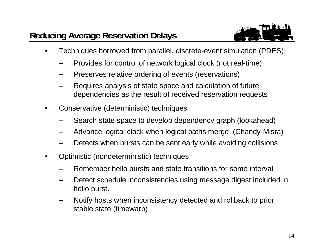

- • Techniques borrowed from parallel, discrete-event simulation (PDES)
	- **–**Provides for control of network logical clock (not real-time)
	- **–**Preserves relative ordering of events (reservations)
	- **–** Requires analysis of state space and calculation of future dependencies as the result of received reservation requests
- • Conservative (deterministic) techniques
	- **–**Search state space to develop dependency graph (lookahead)
	- **–**Advance logical clock when logical paths merge (Chandy-Misra)
	- **–**Detects when bursts can be sent early while avoiding collisions
- • Optimistic (nondeterministic) techniques
	- **–**Remember hello bursts and state transitions for some interval
	- **–** Detect schedule inconsistencies using message digest included in hello burst.
	- Notify hosts when inconsistency detected and rollback to prior stable state (timewarp)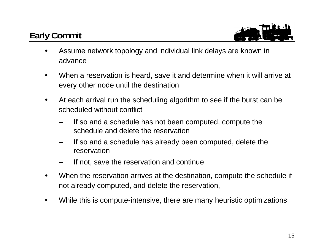# **Early Commit**



- • Assume network topology and individual link delays are known in advance
- • When a reservation is heard, save it and determine when it will arrive at every other node until the destination
- • At each arrival run the scheduling algorithm to see if the burst can be scheduled without conflict
	- **–** If so and a schedule has not been computed, compute the schedule and delete the reservation
	- **–** If so and a schedule has already been computed, delete the reservation
	- **–**If not, save the reservation and continue
- • When the reservation arrives at the destination, compute the schedule if not already computed, and delete the reservation,
- •While this is compute-intensive, there are many heuristic optimizations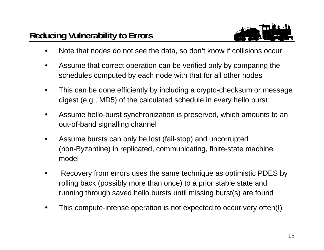## **Reducing Vulnerability to Errors**



- •Note that nodes do not see the data, so don't know if collisions occur
- • Assume that correct operation can be verified only by comparing the schedules computed by each node with that for all other nodes
- • This can be done efficiently by including a crypto-checksum or message digest (e.g., MD5) of the calculated schedule in every hello burst
- • Assume hello-burst synchronization is preserved, which amounts to an out-of-band signalling channel
- • Assume bursts can only be lost (fail-stop) and uncorrupted (non-Byzantine) in replicated, communicating, finite-state machine model
- Recovery from errors uses the same technique as optimistic PDES by rolling back (possibly more than once) to a prior stable state and running through saved hello bursts until missing burst(s) are found
- •This compute-intense operation is not expected to occur very often(!)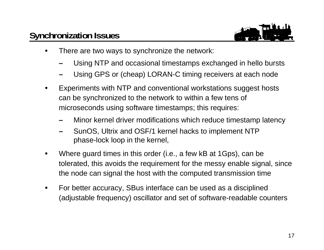#### **Synchronization Issues**



- • There are two ways to synchronize the network:
	- **–**Using NTP and occasional timestamps exchanged in hello bursts
	- **–**Using GPS or (cheap) LORAN-C timing receivers at each node
- • Experiments with NTP and conventional workstations suggest hosts can be synchronized to the network to within a few tens of microseconds using software timestamps; this requires:
	- **–**Minor kernel driver modifications which reduce timestamp latency
	- SunOS, Ultrix and OSF/1 kernel hacks to implement NTP phase-lock loop in the kernel,
- • Where guard times in this order (i.e., a few kB at 1Gps), can be tolerated, this avoids the requirement for the messy enable signal, since the node can signal the host with the computed transmission time
- • For better accuracy, SBus interface can be used as a disciplined (adjustable frequency) oscillator and set of software-readable counters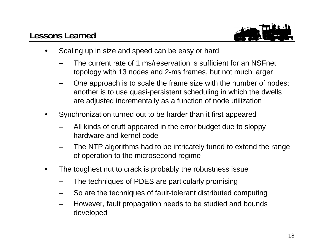## **Lessons Learned**



- • Scaling up in size and speed can be easy or hard
	- **–** The current rate of 1 ms/reservation is sufficient for an NSFnet topology with 13 nodes and 2-ms frames, but not much larger
	- **–** One approach is to scale the frame size with the number of nodes; another is to use quasi-persistent scheduling in which the dwells are adjusted incrementally as a function of node utilization
- • Synchronization turned out to be harder than it first appeared
	- **–** All kinds of cruft appeared in the error budget due to sloppy hardware and kernel code
	- **–** The NTP algorithms had to be intricately tuned to extend the range of operation to the microsecond regime
- • The toughest nut to crack is probably the robustness issue
	- **–**The techniques of PDES are particularly promising
	- So are the techniques of fault-tolerant distributed computing
	- **–** However, fault propagation needs to be studied and bounds developed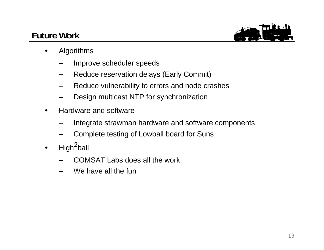## **Future Work**



- • Algorithms
	- **–**Improve scheduler speeds
	- **–**Reduce reservation delays (Early Commit)
	- **–**Reduce vulnerability to errors and node crashes
	- Design multicast NTP for synchronization
- • Hardware and software
	- **–**Integrate strawman hardware and software components
	- **–**Complete testing of Lowball board for Suns
- $\bullet$ High<sup>2</sup>ball
	- COMSAT Labs does all the work
	- **–**We have all the fun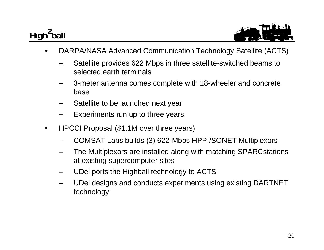# High<sup>2</sup>ball



- • DARPA/NASA Advanced Communication Technology Satellite (ACTS)
	- **–** Satellite provides 622 Mbps in three satellite-switched beams to selected earth terminals
	- **–** 3-meter antenna comes complete with 18-wheeler and concrete base
	- **–**Satellite to be launched next year
	- **–**Experiments run up to three years
- • HPCCI Proposal (\$1.1M over three years)
	- **–**COMSAT Labs builds (3) 622-Mbps HPPI/SONET Multiplexors
	- **–** The Multiplexors are installed along with matching SPARCstations at existing supercomputer sites
	- **–**UDel ports the Highball technology to ACTS
	- UDel designs and conducts experiments using existing DARTNET technology